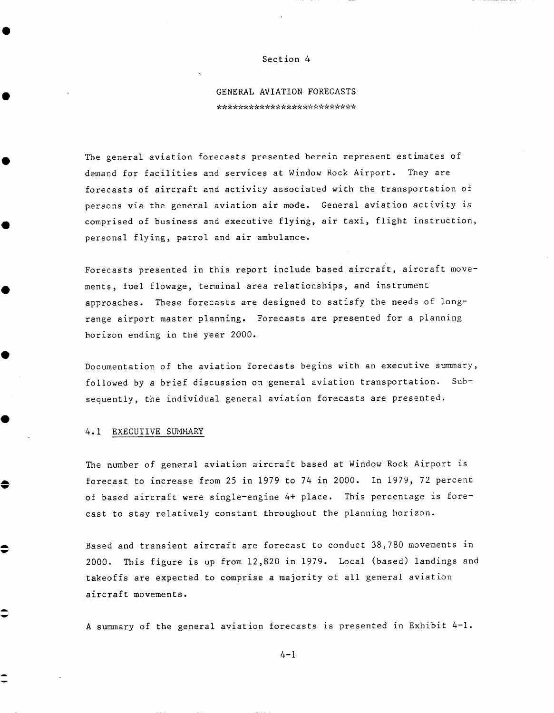#### Section 4

## GENERAL AVIATION FORECASTS \*\*\*\*\*\*\*\*\*\*\*\*\*\*\*\*\*\*\*\*\*\*\*\*\*\*

The general aviation forecasts presented herein represent estimates of demand for facilities and services at Window Rock Airport. They are forecasts of aircraft and activity associated with the transportation of persons via the general aviation air mode. General aviation activity is comprised of business and executive flying, air taxi, flight instruction, personal flying, patrol and air ambulance.

Forecasts presented in this report include based aircraft, aircraft movements, fuel flowage, terminal area relationships, and instrument approaches. These forecasts are designed to satisfy the needs of longrange airport master planning. Forecasts are presented for a planning horizon ending in the year 2000.

Documentation of the aviation forecasts begins with an executive summary, followed by a brief discussion on general aviation transportation. Subsequently, the individual general aviation forecasts are presented.

#### 4.1 EXECUTIVE SUMMARY

≙

-

The number of general aviation aircraft based at Window Rock Airport is forecast to increase from 25 in 1979 to 74 in 2000. In 1979, 72 percent of based aircraft were single-engine 4+ place. This percentage is forecast to stay relatively constant throughout the planning horizon.

Based and transient aircraft are forecast to conduct 38,780 movements in 2000. This figure is up from 12,820 in 1979. Local (based) landings and takeoffs are expected to comprise a majority of all general aviation aircraft movements.

A summary of the general aviation forecasts is presented in Exhibit 4-1.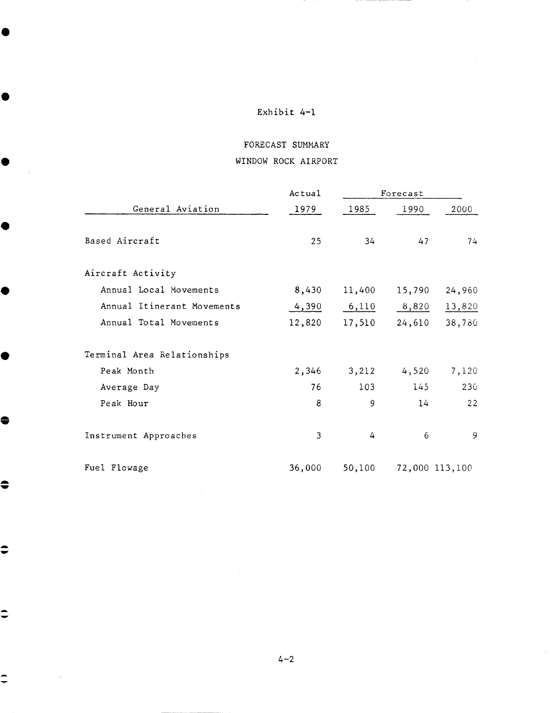€

 $\bullet$ 

 $\bullet$ 

C

 $\bullet$ 

 $\bullet$ 

 $\hat{=}$ 

 $\hat{\mathbf{C}}$ 

 $\dot{=}$ 

# FORECAST SUMMARY WINDOW ROCK AIRPORT

|                             | Actual | Forecast |        |                |  |
|-----------------------------|--------|----------|--------|----------------|--|
| General Aviation            | 1979   | 1985     | 1990   | 2000           |  |
| Based Aircraft              | 25     | 34       | 47     | 74             |  |
| Aircraft Activity           |        |          |        |                |  |
| Annual Local Movements      | 8,430  | 11,400   | 15,790 | 24,960         |  |
| Annual Itinerant Movements  | 4,390  | 6,110    | 8,820  | 13,820         |  |
| Annual Total Movements      | 12,820 | 17,510   | 24,610 | 38,780         |  |
| Terminal Area Relationships |        |          |        |                |  |
| Peak Month                  | 2,346  | 3,212    | 4,520  | 7,120          |  |
| Average Day                 | 76     | 103      | 145    | 230            |  |
| Peak Hour                   | 8      | 9        | 14     | 22             |  |
| Instrument Approaches       | 3      | 4        | 6      | 9              |  |
| Fuel Flowage                | 36,000 | 50,100   |        | 72,000 113,100 |  |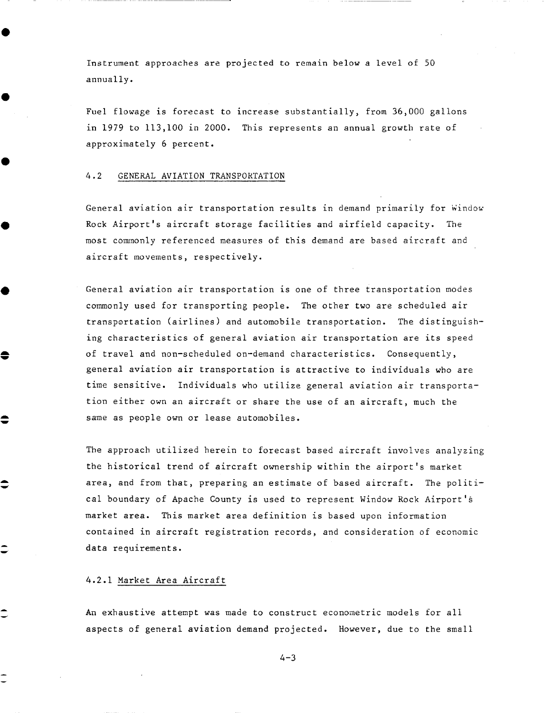Instrument approaches are projected to remain below a level of 50 annually.

Fuel flowage is forecast to increase substantially, from 36,000 gallons in 1979 to 113,100 in 2000. This represents an annual growth rate of approximately 6 percent.

#### 4.2 GENERAL AVIATION TRANSPORTATION

General aviation air transportation results in demand primarily for Window Rock Airport's aircraft storage facilities and airfield capacity. The most commonly referenced measures of this demand are based aircraft and aircraft movements, respectively.

General aviation air transportation is one of three transportation modes commonly used for transporting people. The other two are scheduled air transportation (airlines) and automobile transportation. The distinguishing characteristics of general aviation air transportation are its speed of travel and non-scheduled on-demand characteristics. Consequently, general aviation air transportation is attractive to individuals who are time sensitive. Individuals who utilize general aviation air transportation either own an aircraft or share the use of an aircraft, much the same as people own or lease automobiles.

The approach utilized herein to forecast based aircraft involves analyzing the historical trend of aircraft ownership within the airport's market area, and from that, preparing an estimate of based aircraft. The political boundary of Apache County is used to represent Window Rock Airport's market area. This market area definition is based upon information contained in aircraft registration records, and consideration of economic data requirements.

#### 4.2.1 Market Area Aircraft

€

An exhaustive attempt was made to construct econometric models for all aspects of general aviation demand projected. However, due to the small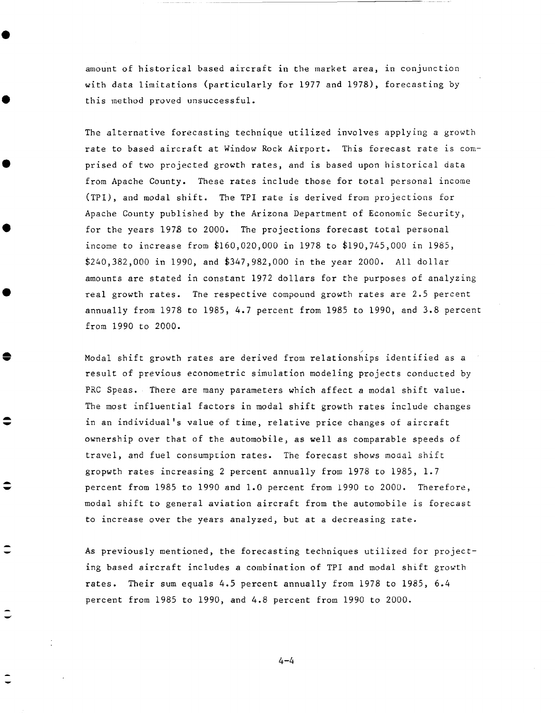amount of historical based aircraft in the market area, in conjunction with data limitations (particularly for 1977 and 1978), forecasting by this method proved unsuccessful.

The alternative forecasting technique utilized involves applying a growth rate to based aircraft at Window Rock Airport. This forecast rate is comprised of two projected growth rates, and is based upon historical data from Apache County. These rates include those for total personal income (TPI), and modal shift. The TPI rate is derived from projections for Apache County published by the Arizona Department of Economic Security, for the years 1978 to 2000. The projections forecast total personal income to increase from \$160,020,000 in 1978 to \$190,745,000 in 1985, \$240,382,000 in 1990, and \$347,982,000 in the year 2000. All dollar amounts are stated in constant 1972 dollars for the purposes of analyzing real growth rates. The respective compound growth rates are 2.5 percent annually from 1978 to 1985, 4.7 percent from 1985 to 1990, and 3.8 percent from 1990 to 2000.

Modal shift growth rates are derived from relationships identified as a result of previous econometric simulation modeling projects conducted by PRC Speas. There are many parameters which affect a modal shift value. The most influential factors in modal shift growth rates include changes in an individual's value of time, relative price changes of aircraft ownership over that of the automobile, as well as comparable speeds of travel, and fuel consumption rates. The forecast shows modal shift gropwth rates increasing 2 percent annually from 1978 to 1985, 1.7 percent from 1985 to 1990 and 1.0 percent from 1990 to 2000. Therefore, modal shift to general aviation aircraft from the automobile is forecast to increase over the years analyzed, but at a decreasing rate.

As previously mentioned, the forecasting techniques utilized for projecting based aircraft includes a combination of TPI and modal shift growth rates. Their sum equals 4.5 percent annually from 1978 to 1985, 6.4 percent from 1985 to 1990, and 4.8 percent from 1990 to 2000.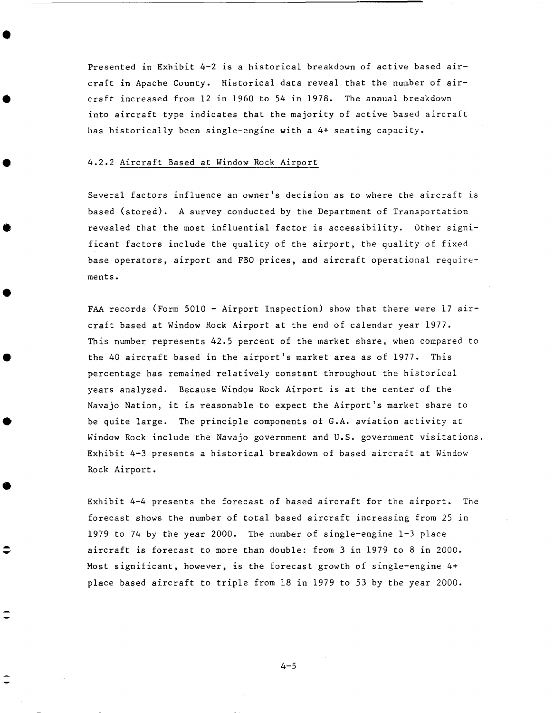Presented in Exhibit 4-2 is a historical breakdown of active based aircraft in Apache County. Historical data reveal that the number of aircraft increased from 12 in 1960 to 54 in 1978. The annual breakdown into aircraft type indicates that the majority of active based aircraft has historically been single-engine with a 4+ seating capacity.

#### 4.2.2 Aircraft Based at Window Rock Airport

Several factors influence an owner's decision as to where the aircraft is based (stored). A survey conducted by the Department of Transportation revealed that the most influential factor is accessibility. Other significant factors include the quality of the airport, the quality of fixed base operators, airport and FBO prices, and aircraft operational requirements.

FAA records (Form 5010 - Airport Inspection) show that there were 17 aircraft based at Window Rock Airport at the end of calendar year 1977. This number represents 42.5 percent of the market share, when compared to the 40 aircraft based in the airport's market area as of 1977. This percentage bas remained relatively constant throughout the historical years analyzed. Because Window Rock Airport is at the center of the Navajo Nation, it is reasonable to expect the Airport's market share to be quite large. The principle components of G.A. aviation activity at Window Rock include the Navajo government and U.S. government visitations. Exhibit 4-3 presents a historical breakdown of based aircraft at Window Rock Airport.

Exhibit 4-4 presents the forecast of based aircraft for the airport. The forecast shows the number of total based aircraft increasing from 25 in 1979 to 74 by the year 2000. The number of single-engine 1-3 place aircraft is forecast to more than double: from 3 in 1979 to 8 in 2000. Most significant, however, is the forecast growth of single-engine 4+ place based aircraft to triple from 18 in 1979 to 53 by the year 2000.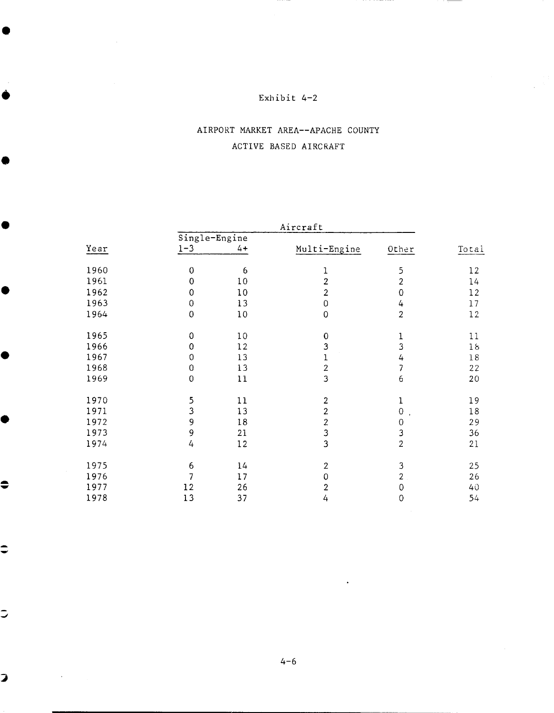# AIRPORT MARKET AREA--APACHE COUNTY ACTIVE BASED AIRCRAFT

|      |                          | Aircraft |                         |                                     |        |
|------|--------------------------|----------|-------------------------|-------------------------------------|--------|
|      | Single-Engine            |          |                         |                                     |        |
| Year | $1 - 3$                  | $4+$     | Multi-Engine            | Other                               | Total  |
| 1960 | $\mathbf 0$              | 6        | 1                       | 5                                   | 12     |
| 1961 | $\mathbf 0$              | 10       | $\overline{2}$          | $\boldsymbol{2}$                    | 14     |
| 1962 | $\mathbf 0$              | 10       | $\overline{2}$          | $\mathbf 0$                         | 12     |
| 1963 | $\boldsymbol{0}$         | 13       | $\mathsf{O}$            | 4                                   | 17     |
| 1964 | $\mathbf 0$              | 10       | $\mathbf 0$             | $\overline{2}$                      | 12     |
| 1965 | $\mathbf 0$              | 10       | $\mathbf 0$             | $\mathbf 1$                         | $1\,1$ |
| 1966 | $\bf{0}$                 | 12       | $\mathbf{3}$            | $\overline{3}$                      | 18     |
| 1967 | 0                        | 13       | $\mathbf 1$             | 4                                   | 18     |
| 1968 | $\boldsymbol{0}$         | 13       | $\overline{\mathbf{c}}$ | $\overline{7}$                      | 22     |
| 1969 | $\mathbf 0$              | 11       | 3                       | 6                                   | 20     |
| 1970 | 5                        | 11       | $\overline{2}$          | $\bf{l}$                            | 19     |
| 1971 | $\overline{3}$           | 13       | $\overline{2}$          | $\mathbf 0$<br>$\ddot{\phantom{1}}$ | 18     |
| 1972 | 9                        | 18       | $\overline{c}$          | $\mathbf 0$                         | 29     |
| 1973 | 9                        | 21       | 3                       | 3                                   | 36     |
| 1974 | 4                        | 12       | $\overline{\mathbf{3}}$ | $\overline{2}$                      | 21     |
| 1975 | 6                        | 14       | $\overline{2}$          | 3                                   | 25     |
| 1976 | $\overline{\mathcal{L}}$ | 17       | $\mathsf 0$             | $\overline{2}$                      | 26     |
| 1977 | 12                       | 26       | $\overline{2}$          | $\mathbf 0$                         | 40     |
| 1978 | 13                       | 37       | 4                       | $\overline{0}$                      | 54     |

 $\Rightarrow$ 

 $\bullet$ 

●

Ó

C

●

 $\bullet$ 

 $\bullet$ 

 $\overline{\phantom{a}}$ 

 $\overline{\mathbf{z}}$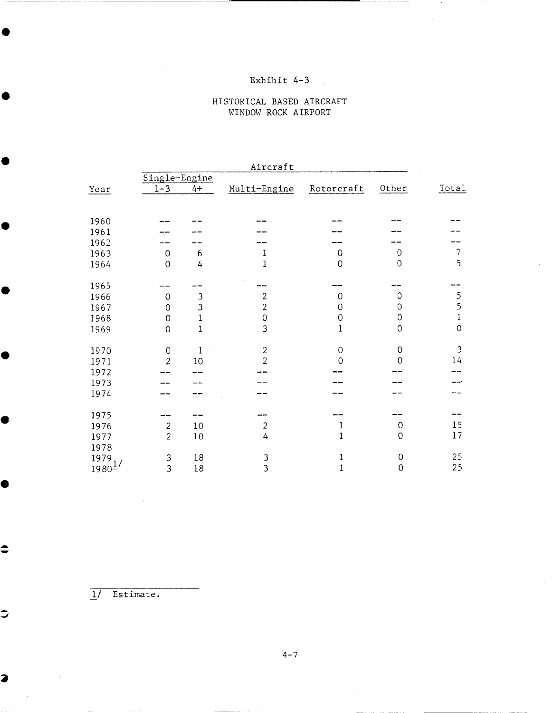### HISTORICAL BASED AIRCRAFT WINDOW ROCK AIRPORT

|                                              |                                                        |                                           | Aircraft                                                                |                                                                |                                       |                                       |
|----------------------------------------------|--------------------------------------------------------|-------------------------------------------|-------------------------------------------------------------------------|----------------------------------------------------------------|---------------------------------------|---------------------------------------|
| Year                                         | Single-Engine<br>$1 - 3$                               | $4+$                                      | Multi-Engine                                                            | Rotorcraft                                                     | Other                                 | Total                                 |
| 1960<br>1961<br>1962<br>1963                 | 0                                                      | 6                                         | 1                                                                       | $\Omega$                                                       | 0                                     | $\overline{I}$<br>5                   |
| 1964<br>1965<br>1966<br>1967<br>1968<br>1969 | $\overline{O}$<br>0<br>0<br>$\mathbf 0$<br>$\mathbf 0$ | 4<br>3<br>3<br>$\mathbf 1$<br>$\mathbf 1$ | $\mathbf{1}$<br>$\overline{2}$<br>$\overline{c}$<br>$\overline{0}$<br>3 | $\overline{0}$<br>$\Omega$<br>0<br>$\mathbf 0$<br>$\mathbf{1}$ | 0<br>0<br>0<br>0<br>0                 | 5<br>5<br>$\mathbf{1}$<br>$\mathbf 0$ |
| 1970<br>1971<br>1972<br>1973<br>1974         | $\mathbf 0$<br>$\overline{2}$                          | $\mathbf 1$<br>10                         | $\overline{2}$<br>$\overline{2}$                                        | $\mathbf 0$<br>$\Omega$                                        | 0<br>$\overline{O}$                   | 3<br>14                               |
| 1975<br>1976<br>1977<br>1978<br>1979         | $\sqrt{2}$<br>$\overline{2}$<br>$\mathfrak z$          | 10<br>10<br>18                            | $\overline{2}$<br>4<br>3                                                | 1<br>1<br>1                                                    | $\overline{0}$<br>$\overline{0}$<br>0 | 15<br>17<br>25                        |
| $1980\frac{1}{2}$                            | $\overline{3}$                                         | 18                                        | $\overline{3}$                                                          | $\mathbf 1$                                                    | $\overline{0}$                        | 25                                    |

I/ Estimate.

▲

●

 $\bullet$ 

 $\ddot{\bullet}$ 

 $\Rightarrow$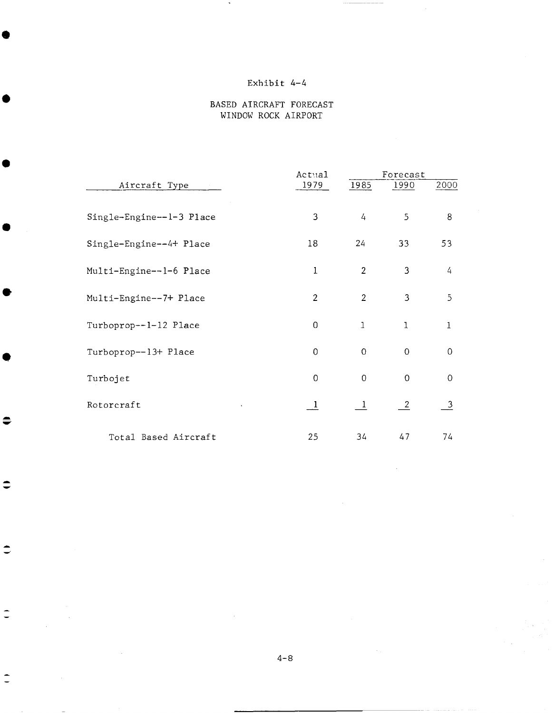### BASED AIRCRAFT FORECAST WINDOW ROCK AIRPORT

|                          | Actual         | Forecast       |               |                         |
|--------------------------|----------------|----------------|---------------|-------------------------|
| Aircraft Type            | 1979           | 1985           | 1990          | 2000                    |
| Single-Engine--1-3 Place | 3              | $\frac{1}{4}$  | 5             | 8                       |
| Single-Engine--4+ Place  | 18             | 24             | 33            | 53                      |
| Multi-Engine--1-6 Place  | 1              | $\overline{2}$ | 3             | 4                       |
| Multi-Engine--7+ Place   | $\overline{2}$ | $\overline{2}$ | 3             | $\overline{5}$          |
| Turboprop--1-12 Place    | 0              | 1              | $\mathbf{I}$  | $\mathbf{1}$            |
| Turboprop--13+ Place     | $\mathbf 0$    | $\overline{O}$ | $\mathbf 0$   | $\mathbf 0$             |
| Turbojet                 | 0              | $\overline{0}$ | 0             | $\mathbf 0$             |
| Rotorcraft               | $\perp$        | $\mathbf{1}$   | $\frac{2}{2}$ | $\overline{\mathbf{3}}$ |
| Total Based Aircraft     | 25             | 34             | 47            | 74                      |

€

 $\Rightarrow$ 

 $\Rightarrow$ 

 $\overline{\phantom{a}}$ 

 $\hat{\mathbb{I}}$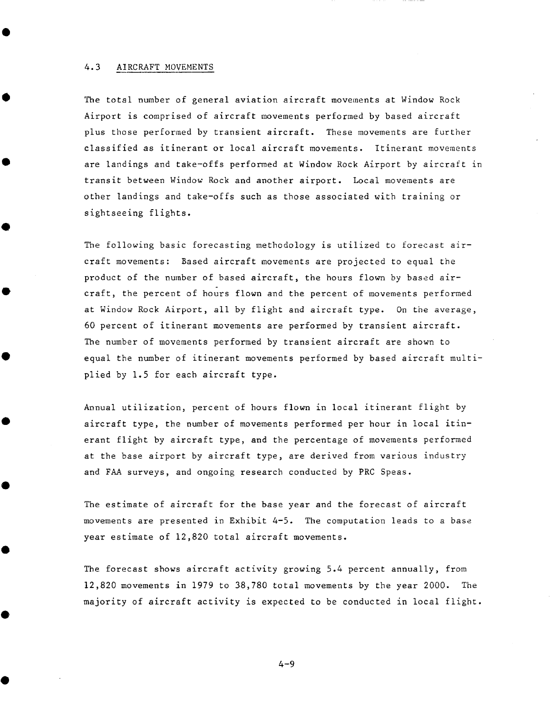#### 4.3 AIRCRAFT MOVEMENTS

The total number of general aviation aircraft movements at Window Rock Airport is comprised of aircraft movements performed by based aircraft plus those performed by transient aircraft. These movements are further classified as itinerant or local aircraft movements. Itinerant movements are landings and take-offs performed at Window Rock Airport by aircraft in transit between Window Rock and another airport. Local movements are other landings and take-offs such as those associated with training or sightseeing flights.

The following basic forecasting methodology is utilized to forecast aircraft movements: Based aircraft movements are projected to equal the product of the number of based aircraft, the hours flown by based aircraft, the percent of hours flown and the percent of movements performed at Window Rock Airport, all by flight and aircraft type. On the average, 60 percent of itinerant movements are performed by transient aircraft. The number of movements performed by transient aircraft are shown to equal the number of itinerant movements performed by based aircraft multiplied by 1.5 for each aircraft type.

Annual utilization, percent of hours flown in local itinerant flight by aircraft type, the number of movements performed per hour in local itinerant flight by aircraft type, and the percentage of movements performed at the base airport by aircraft type, are derived from various industry and FAA surveys, and ongoing research conducted by PRC Speas.

The estimate of aircraft for the base year and the forecast of aircraft movements are presented in Exhibit 4-5. The computation leads to a base year estimate of 12,820 total aircraft movements.

The forecast shows aircraft activity growing 5.4 percent annually, from 12,820 movements in 1979 to 38,780 total movements by the year 2000. The majority of aircraft activity is expected to be conducted in local flight.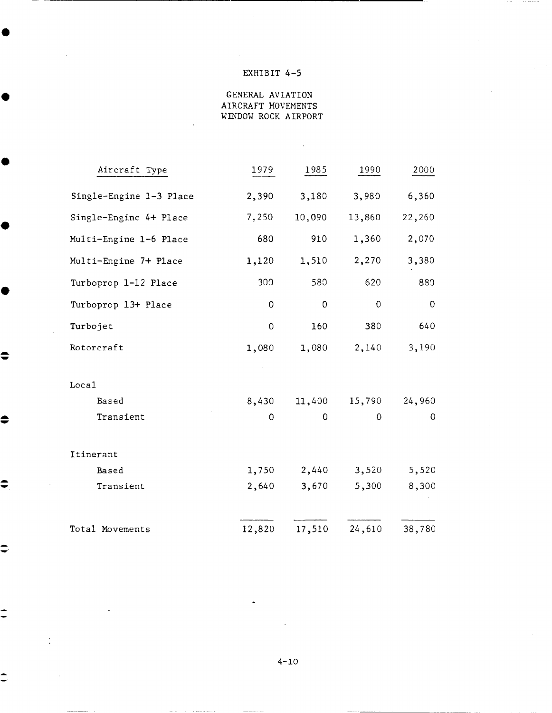## EXHIBIT 4-5

GENERAL AVIATION AIRCRAFT MOVEMENTS WINDOW ROCK AIRPORT

 $\bar{\mathcal{A}}$ 

| Aircraft Type           | 1979        | 1985   | 1990        | 2000     |
|-------------------------|-------------|--------|-------------|----------|
| Single-Engine 1-3 Place | 2,390       | 3,180  | 3,980       | 6,360    |
| Single-Engine 4+ Place  | 7,250       | 10,090 | 13,860      | 22,260   |
| Multi-Engine 1-6 Place  | 680         | 910    | 1,360       | 2,070    |
| Multi-Engine 7+ Place   | 1,120       | 1,510  | 2,270       | 3,380    |
| Turboprop 1-12 Place    | 300         | 580    | 620         | 880      |
| Turboprop 13+ Place     | $\mathbf 0$ | 0      | $\mathbf 0$ | 0        |
| Turbojet                | $\mathbf 0$ | 160    | 380         | 640      |
| Rotorcraft              | 1,080       | 1,080  | 2,140       | 3,190    |
|                         |             |        |             |          |
| Local                   |             |        |             |          |
| Based                   | 8,430       | 11,400 | 15,790      | 24,960   |
| Transient               | 0           | 0      | $\Omega$    | $\Omega$ |
| Itinerant               |             |        |             |          |
| Based                   | 1,750       | 2,440  | 3,520       | 5,520    |
|                         |             |        |             |          |
| Transient               | 2,640       | 3,670  | 5,300       | 8,300    |
| Total Movements         | 12,820      | 17,510 | 24,610      | 38,780   |

 $\bullet$ 

 $\Rightarrow$ 

 $\Rightarrow$ 

 $\Rightarrow$ 

 $\hat{=}$ 

 $\hat{=}$ 

 $\ddot{\phantom{0}}$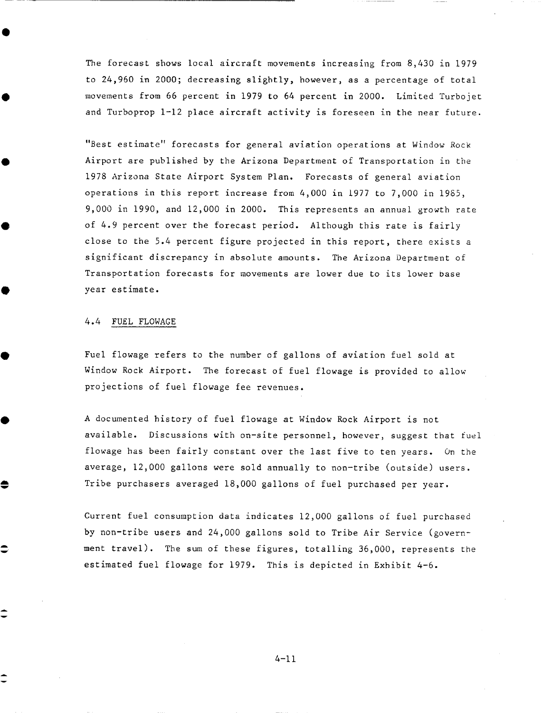The forecast shows local aircraft movements increasing from 8,430 in 1979 to 24,960 in 2000; decreasing slightly, however, as a percentage of total movements from 66 percent in 1979 to 64 percent in 2000. Limited Turbojet and Turboprop 1-12 place aircraft activity is foreseen in the near future.

"Best estimate" forecasts for general aviation operations at Window Rock Airport are published by the Arizona Department of Transportation in the 1978 Arizona State Airport System Plan. Forecasts of general aviation operations in this report increase from 4,000 in 1977 to 7,000 in 1985, 9,000 in 1990, and 12,000 in 2000. This represents an annual growth rate of 4.9 percent over the forecast period. Although this rate is fairly close to the 5.4 percent figure projected in this report, there exists a significant discrepancy in absolute amounts. The Arizona Department of Transportation forecasts for movements are lower due to its lower base year estimate.

#### 4.4 FUEL FLOWAGE

●

Fuel flowage refers to the number of gallons of aviation fuel sold at Window Rock Airport. The forecast of fuel flowage is provided to allow projections of fuel flowage fee revenues.

A documented history of fuel flowage at Window Rock Airport is not available. Discussions with on-site personnel, however, suggest that fuel flowage has been fairly constant over the last five to ten years. On the average, 12,000 gallons were sold annually to non-tribe (outside) users. Tribe purchasers averaged 18,000 gallons of fuel purchased per year.

Current fuel consumption data indicates 12,000 gallons of fuel purchased by non-tribe users and 24,000 gallons sold to Tribe Air Service (government travel). The sum of these figures, totalling 36,000, represents the estimated fuel flowage for 1979. This is depicted in Exhibit 4-6.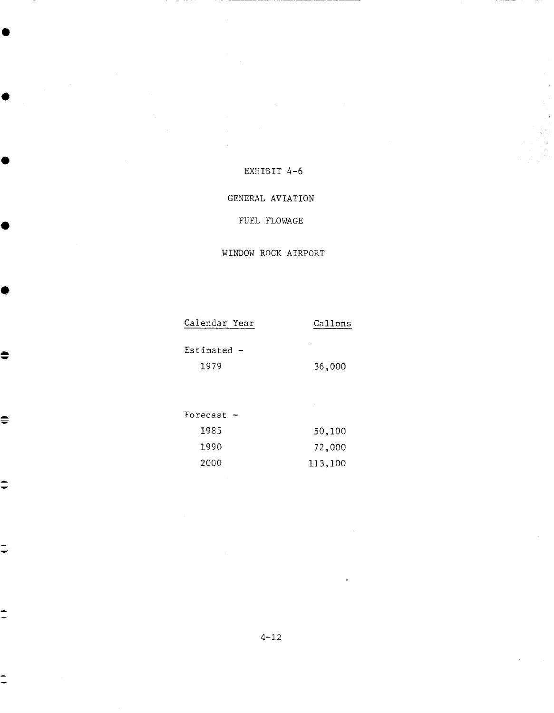### EXHIBIT 4-6

### GENERAL **AVIATION**

## FUEL FLOWAGE

### WINDOW ROCK AIRPORT

| Calendar Year | Gallons |
|---------------|---------|
| $Estimated -$ |         |
| 1979          | 36,000  |
|               |         |
|               | ٠       |
| Forecast      |         |

 $\ddot{\bullet}$ 

 $\hat{=}$ 

 $\hat{=}$ 

 $\hat{\phantom{a}}$ 

Ξ

| 1985 | 50,100  |
|------|---------|
| 1990 | 72,000  |
| 2000 | 113,100 |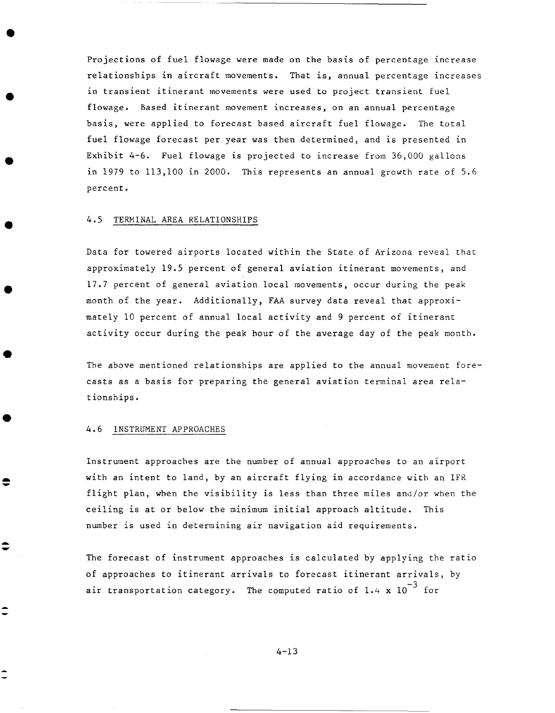Projections of fuel flowage were made on the basis of percentage increase relationships in aircraft movements. That is, annual percentage increases in transient itinerant movements were used to project transient fuel flowage. Based itinerant movement increases, on an annual percentage basis, were applied to forecast based aircraft fuel flowage. The total fuel flowage forecast per year was then determined, and is presented in Exhibit 4-6. Fuel flowage is projected to increase from 36,000 gallons in 1979 to 113,100 in 2000. This represents an annual growth rate of 5.6 percent.

#### 4.5 TERMINAL AREA RELATIONSHIPS

Data for towered airports located within the State of Arizona reveal that approximately 19.5 percent of general aviation itinerant movements, and 17.7 percent of general aviation local movements, occur during the peak month of the year. Additionally, FAA survey data reveal that approximately I0 percent of annual local activity and 9 percent of itinerant activity occur during the peak hour of the average day of the peak month.

The above mentioned relationships are applied to the annual movement forecasts as a basis for preparing the general aviation terminal area relationships.

#### 4.6 INSTRUMENT APPROACHES

 $\hat{\mathbf{v}}$ 

Instrument approaches are the number of annual approaches to an airport with an intent to land, by an aircraft flying in accordance with an IFR flight plan, when the visibility is less than three miles and/or when the ceiling is at or below the minimum initial approach altitude. This number is used in determining air navigation aid requirements.

The forecast of instrument approaches is calculated by applying the ratio of approaches to itinerant arrivals to forecast itinerant arrivals, by air transportation category. The computed ratio of 1.4 x  $10^{-3}$  for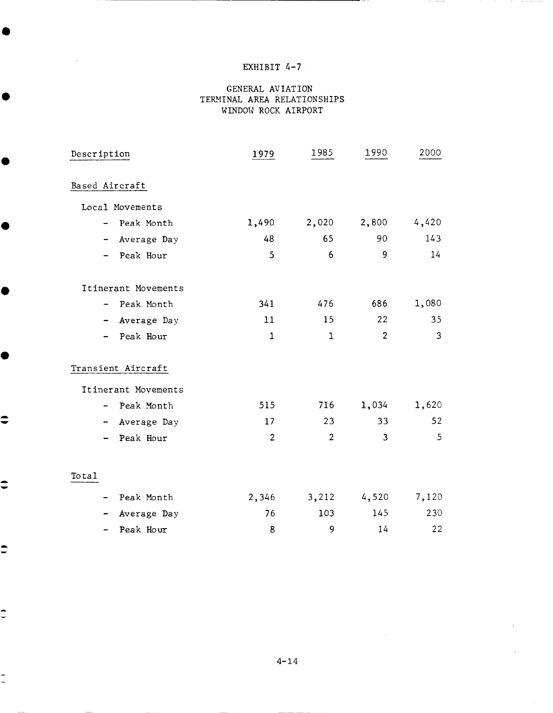## EXHIBIT 4-7

#### GENERAL AVIATION TERMINAL AREA RELATIONSHIPS WINDOW ROCK AIRPORT

| Description         | 1979           | 1985           | 1990                                                             | 2000  |
|---------------------|----------------|----------------|------------------------------------------------------------------|-------|
| Based Aircraft      |                |                |                                                                  |       |
| Local Movements     |                |                |                                                                  |       |
| Peak Month          | 1,490          | 2,020          | 2,800                                                            | 4,420 |
| Average Day<br>⊷    | 48             | 65             | 90                                                               | 143   |
| Peak Hour           | 5              | 6              | 9<br>$\mathcal{A}^{\mathcal{A}}$ and $\mathcal{A}^{\mathcal{A}}$ | 14    |
| Itinerant Movements |                |                |                                                                  |       |
| - Peak Month        | 341            | 476            | 686                                                              | 1,080 |
| Average Day         | 11             | 15             | 22                                                               | 35    |
| Peak Hour           | $\mathbf{1}$   | $\mathbf{1}$   | $\overline{2}$                                                   | 3     |
| Transient Aircraft  |                |                |                                                                  |       |
| Itinerant Movements |                |                |                                                                  |       |
| Peak Month          | 515            | 716            | 1,034                                                            | 1,620 |
| Average Day         | 17             | 23             | 33                                                               | 52    |
| Peak Hour           | $\overline{2}$ | $\overline{2}$ | 3                                                                | 5     |
| Total               |                |                |                                                                  |       |
| Peak Month          | 2,346          | 3,212          | 4,520                                                            | 7,120 |
| Average Day         | 76             | 103            | 145                                                              | 230   |
| Peak Hour           | 8              | 9              | 14                                                               | 22    |

 $\bullet$ 

 $\ddot{\bullet}$ 

 $\stackrel{\bullet}{\phantom{}_{\bullet}}$ 

⊋

 $\overline{\phantom{a}}$